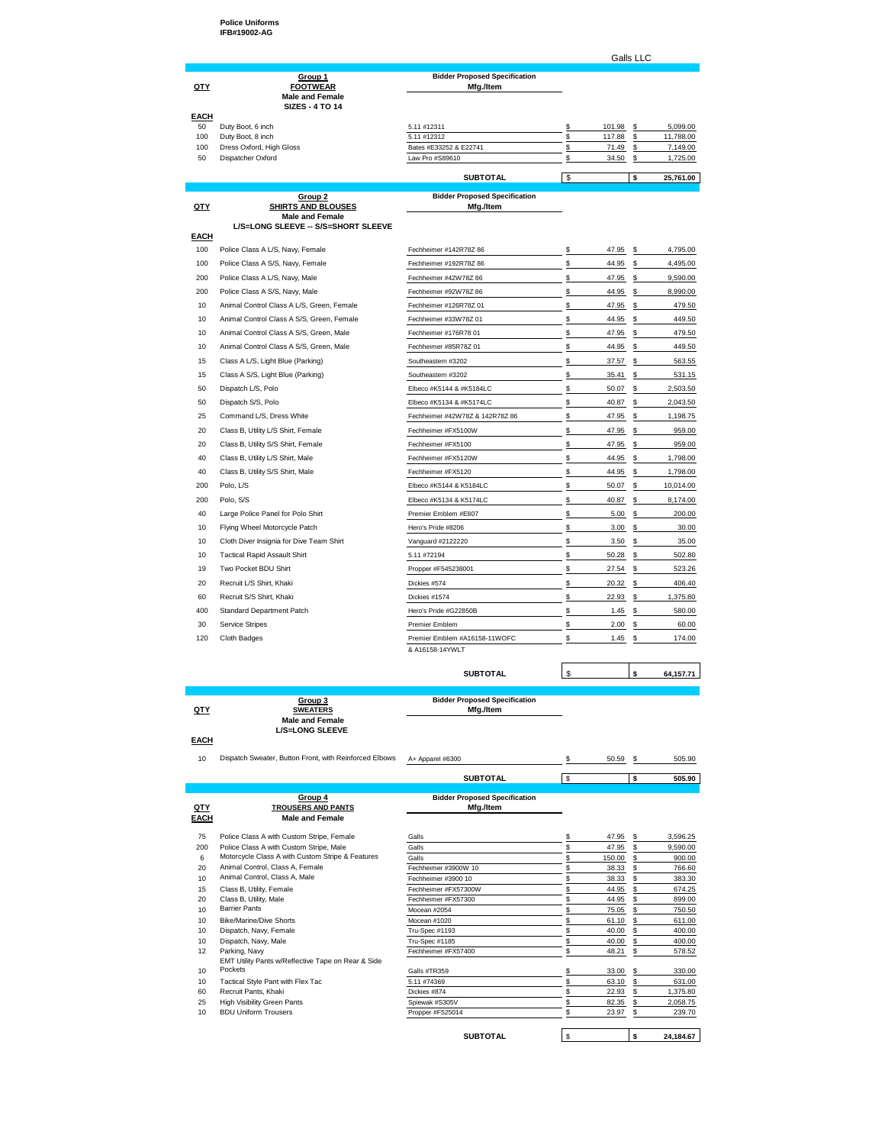**Police Uniforms IFB#19002-AG**

Galls LLC

| <u>QTY</u>        | Group 1<br><b>FOOTWEAR</b><br><b>Male and Female</b><br><b>SIZES - 4 TO 14</b> | <b>Bidder Proposed Specification</b><br>Mfg./Item |   |           |   |           |
|-------------------|--------------------------------------------------------------------------------|---------------------------------------------------|---|-----------|---|-----------|
| <b>EACH</b><br>50 | Duty Boot, 6 inch                                                              | 5.11 #12311                                       |   | 101.98 \$ |   | 5,099.00  |
| 100               | Duty Boot, 8 inch                                                              | 5.11 #12312                                       |   | 117.88    | s | 11,788.00 |
| 100               | Dress Oxford, High Gloss                                                       | Bates #E33252 & E22741                            |   | 71.49     | s | 7,149.00  |
| 50                | Dispatcher Oxford                                                              | Law Pro #S89610                                   |   | 34.50     | s | 1,725.00  |
|                   |                                                                                |                                                   |   |           |   |           |
|                   |                                                                                | <b>SUBTOTAL</b>                                   | c |           |   | 25,761.00 |

| QTY  | Group 2<br><b>SHIRTS AND BLOUSES</b>      | <b>Bidder Proposed Specification</b><br>Mfg./Item |             |    |           |
|------|-------------------------------------------|---------------------------------------------------|-------------|----|-----------|
|      | <b>Male and Female</b>                    |                                                   |             |    |           |
| EACH | L/S=LONG SLEEVE -- S/S=SHORT SLEEVE       |                                                   |             |    |           |
| 100  | Police Class A L/S, Navy, Female          | Fechheimer #142R78Z 86                            | \$<br>47.95 | \$ | 4,795.00  |
| 100  | Police Class A S/S, Navy, Female          | Fechheimer #192R78Z 86                            | \$<br>44.95 | \$ | 4,495.00  |
| 200  | Police Class A L/S, Navy, Male            | Fechheimer #42W78Z 86                             | \$<br>47.95 | \$ | 9,590.00  |
| 200  | Police Class A S/S, Navy, Male            | Fechheimer #92W78Z 86                             | \$<br>44.95 | \$ | 8,990.00  |
| 10   | Animal Control Class A L/S, Green, Female | Fechheimer #126R78Z 01                            | \$<br>47.95 | \$ | 479.50    |
| 10   | Animal Control Class A S/S, Green, Female | Fechheimer #33W78Z 01                             | \$<br>44.95 | \$ | 449.50    |
| 10   | Animal Control Class A S/S, Green, Male   | Fechheimer #176R78 01                             | \$<br>47.95 | \$ | 479.50    |
| 10   | Animal Control Class A S/S, Green, Male   | Fechheimer #85R78Z 01                             | \$<br>44.95 | \$ | 449.50    |
| 15   | Class A L/S, Light Blue (Parking)         | Southeastern #3202                                | \$<br>37.57 | \$ | 563.55    |
| 15   | Class A S/S, Light Blue (Parking)         | Southeastern #3202                                | \$<br>35.41 | \$ | 531.15    |
| 50   | Dispatch L/S, Polo                        | Elbeco #K5144 & #K5184LC                          | \$<br>50.07 | \$ | 2,503.50  |
| 50   | Dispatch S/S, Polo                        | Elbeco #K5134 & #K5174LC                          | \$<br>40.87 | \$ | 2,043.50  |
| 25   | Command L/S, Dress White                  | Fechheimer #42W78Z & 142R78Z 86                   | \$<br>47.95 | \$ | 1,198.75  |
| 20   | Class B, Utility L/S Shirt, Female        | Fechheimer #FX5100W                               | \$<br>47.95 | s  | 959.00    |
| 20   | Class B, Utility S/S Shirt, Female        | Fechheimer #FX5100                                | \$<br>47.95 | \$ | 959.00    |
| 40   | Class B, Utility L/S Shirt, Male          | Fechheimer #FX5120W                               | \$<br>44.95 | \$ | 1,798.00  |
| 40   | Class B, Utility S/S Shirt, Male          | Fechheimer #FX5120                                | \$<br>44.95 | \$ | 1,798.00  |
| 200  | Polo, L/S                                 | Elbeco #K5144 & K5184LC                           | \$<br>50.07 | \$ | 10,014.00 |
| 200  | Polo, S/S                                 | Elbeco #K5134 & K5174LC                           | \$<br>40.87 | \$ | 8,174.00  |
| 40   | Large Police Panel for Polo Shirt         | Premier Emblem #E807                              | \$<br>5.00  | \$ | 200.00    |
| 10   | Flying Wheel Motorcycle Patch             | Hero's Pride #8206                                | \$<br>3.00  | \$ | 30.00     |
| 10   | Cloth Diver Insignia for Dive Team Shirt  | Vanguard #2122220                                 | \$<br>3.50  | \$ | 35.00     |
| 10   | <b>Tactical Rapid Assault Shirt</b>       | 5.11 #72194                                       | \$<br>50.28 | \$ | 502.80    |
| 19   | Two Pocket BDU Shirt                      | Propper #F545238001                               | \$<br>27.54 | \$ | 523.26    |
| 20   | Recruit L/S Shirt, Khaki                  | Dickies #574                                      | \$<br>20.32 | \$ | 406.40    |
| 60   | Recruit S/S Shirt, Khaki                  | Dickies #1574                                     | \$<br>22.93 | s  | 1,375.80  |
| 400  | Standard Department Patch                 | Hero's Pride #G22850B                             | \$<br>1.45  | \$ | 580.00    |
| 30   | Service Stripes                           | Premier Emblem                                    | \$<br>2.00  | \$ | 60.00     |
| 120  | Cloth Badges                              | Premier Emblem #A16158-11WOFC                     | \$<br>1.45  | \$ | 174.00    |
|      |                                           | & A16158-14YWLT                                   |             |    |           |

|        |             | <b>SUBTOTAL</b>                                  |  | 64.157.7 |
|--------|-------------|--------------------------------------------------|--|----------|
|        |             |                                                  |  |          |
| $\sim$ | Group 3<br> | <b>Bidder Proposed Specification</b><br>$\cdots$ |  |          |

|             | Group 3                | <b>Bidder Proposed Specification</b> |  |
|-------------|------------------------|--------------------------------------|--|
| <u>QTY</u>  | <b>SWEATERS</b>        | Mfa./Item                            |  |
|             | <b>Male and Female</b> |                                      |  |
|             | <b>L/S=LONG SLEEVE</b> |                                      |  |
| <b>EACH</b> |                        |                                      |  |

10 Dispatch Sweater, Button Front, with Reinforced Elbows A+ Apparel #6300 \$ 50.59 \$ 505.90

|                 |                                                                | <b>SUBTOTAL</b>                                   | \$     | s  | 505.90    |
|-----------------|----------------------------------------------------------------|---------------------------------------------------|--------|----|-----------|
|                 |                                                                |                                                   |        |    |           |
| QTY<br>EACH     | Group 4<br><b>TROUSERS AND PANTS</b><br><b>Male and Female</b> | <b>Bidder Proposed Specification</b><br>Mfg./Item |        |    |           |
|                 |                                                                |                                                   |        |    |           |
| 75              | Police Class A with Custom Stripe, Female                      | Galls                                             | 47.95  | s  | 3,596.25  |
| 200             | Police Class A with Custom Stripe, Male                        | Galls                                             | 47.95  | s  | 9.590.00  |
| 6               | Motorcycle Class A with Custom Stripe & Features               | Galls                                             | 150.00 | s  | 900.00    |
| 20              | Animal Control, Class A, Female                                | Fechheimer #3900W 10                              | 38.33  | \$ | 766.60    |
| 10 <sup>1</sup> | Animal Control, Class A, Male                                  | Fechheimer #3900 10                               | 38.33  | S  | 383.30    |
| 15              | Class B, Utility, Female                                       | Fechheimer #FX57300W                              | 44.95  | s  | 674.25    |
| 20              | Class B, Utility, Male                                         | Fechheimer #FX57300                               | 44.95  | s  | 899.00    |
| 10 <sup>1</sup> | <b>Barrier Pants</b>                                           | Mocean #2054                                      | 75.05  | s  | 750.50    |
| 10 <sup>1</sup> | Bike/Marine/Dive Shorts                                        | Mocean #1020                                      | 61.10  | s  | 611.00    |
| 10 <sup>1</sup> | Dispatch, Navy, Female                                         | Tru-Spec #1193                                    | 40.00  | s  | 400.00    |
| 10 <sup>1</sup> | Dispatch, Navy, Male                                           | Tru-Spec #1185                                    | 40.00  | S  | 400.00    |
| 12              | Parking, Navy                                                  | Fechheimer #FX57400                               | 48.21  | \$ | 578.52    |
|                 | EMT Utility Pants w/Reflective Tape on Rear & Side             |                                                   |        |    |           |
| 10 <sup>1</sup> | Pockets                                                        | Galls #TR359                                      | 33.00  | s  | 330.00    |
| 10 <sup>1</sup> | Tactical Style Pant with Flex Tac                              | 5.11 #74369                                       | 63.10  | \$ | 631.00    |
| 60              | Recruit Pants, Khaki                                           | Dickies #874                                      | 22.93  | S  | 1,375.80  |
| 25              | <b>High Visibility Green Pants</b>                             | Spiewak #S305V                                    | 82.35  | s  | 2,058.75  |
| 10 <sup>1</sup> | <b>BDU Uniform Trousers</b>                                    | Propper #F525014                                  | 23.97  | s  | 239.70    |
|                 |                                                                | <b>SUBTOTAL</b>                                   | \$     | s  | 24,184.67 |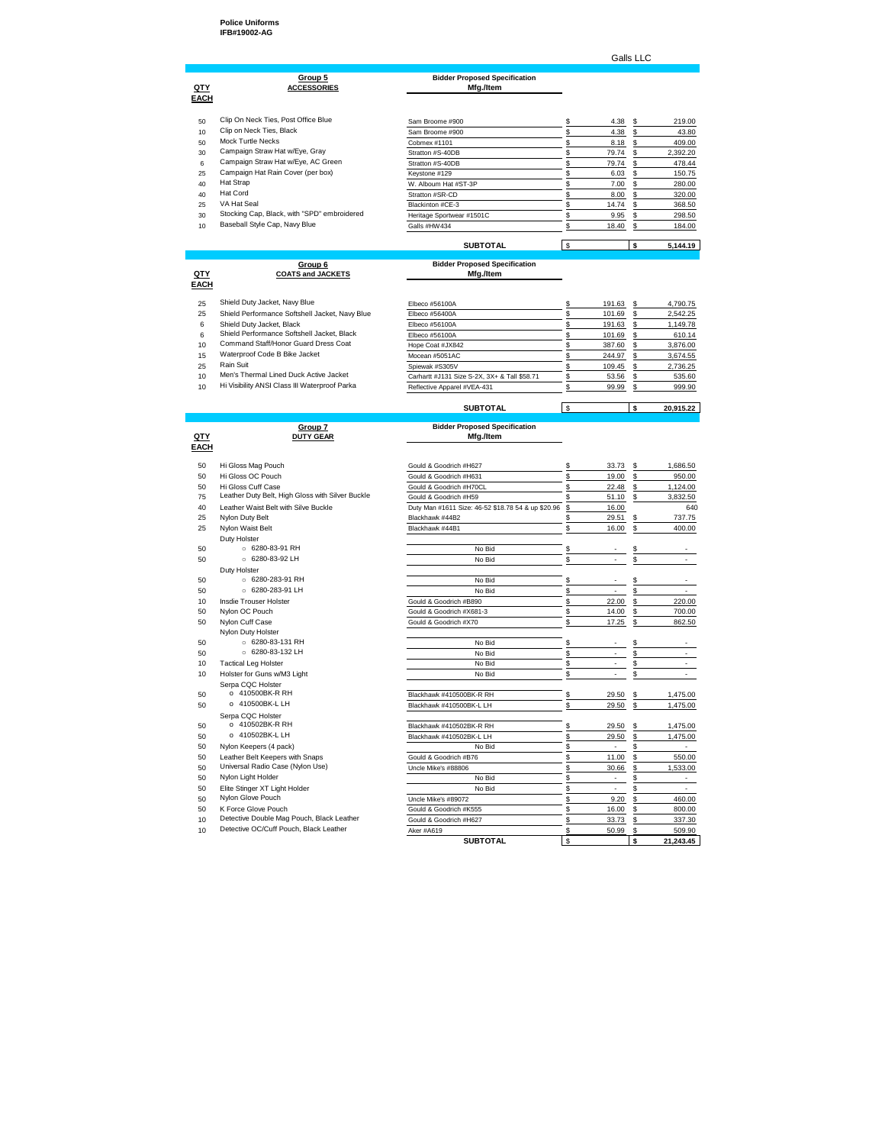## **Police Uniforms IFB#19002-AG**

### Galls LLC

## **Group 5 Bidder Proposed Specification QTY ACCESSORIES Mfg./Item**

| <u>QTY</u>      | Group 5<br><b>ACCESSORIES</b>               | <b>Bidder Proposed Specification</b><br>Mfg./Item |    |       |   |          |
|-----------------|---------------------------------------------|---------------------------------------------------|----|-------|---|----------|
| <b>EACH</b>     |                                             |                                                   |    |       |   |          |
| 50              | Clip On Neck Ties, Post Office Blue         | Sam Broome #900                                   |    | 4.38  | S | 219.00   |
| 10              | Clip on Neck Ties, Black                    | Sam Broome #900                                   |    |       |   | 43.80    |
|                 |                                             |                                                   |    | 4.38  | s |          |
| 50              | Mock Turtle Necks                           | Cobmex #1101                                      |    | 8.18  | s | 409.00   |
| 30              | Campaign Straw Hat w/Eye, Gray              | Stratton #S-40DB                                  |    | 79.74 | s | 2,392.20 |
| 6               | Campaign Straw Hat w/Eye, AC Green          | Stratton #S-40DB                                  |    | 79.74 | s | 478.44   |
| 25              | Campaign Hat Rain Cover (per box)           | Keystone #129                                     |    | 6.03  |   | 150.75   |
| 40              | Hat Strap                                   | W. Alboum Hat #ST-3P                              |    | 7.00  | S | 280.00   |
| 40              | Hat Cord                                    | Stratton #SR-CD                                   |    | 8.00  | S | 320.00   |
| 25              | VA Hat Seal                                 | Blackinton #CE-3                                  |    | 14.74 | S | 368.50   |
| 30              | Stocking Cap, Black, with "SPD" embroidered | Heritage Sportwear #1501C                         |    | 9.95  |   | 298.50   |
| 10 <sup>1</sup> | Baseball Style Cap, Navy Blue               | Galls #HW434                                      |    | 18.40 | s | 184.00   |
|                 |                                             |                                                   |    |       |   |          |
|                 |                                             | <b>SUBTOTAL</b>                                   | s. |       |   | 5,144.19 |

# **COATS and JACKETS**

**D**<br>**DUTY GEAR** 

**EACH**

# **Group 6 Bidder Proposed Specification**

|                 | Group o                                        | <b>Diddel Froposed opecification</b>         |        |          |
|-----------------|------------------------------------------------|----------------------------------------------|--------|----------|
| <u>QTY</u>      | <b>COATS and JACKETS</b>                       | Mfg./Item                                    |        |          |
| <b>EACH</b>     |                                                |                                              |        |          |
| 25              | Shield Duty Jacket, Navy Blue                  | Elbeco #56100A                               | 191.63 | 4.790.75 |
| 25              | Shield Performance Softshell Jacket, Navy Blue | Elbeco #56400A                               | 101.69 | 2.542.25 |
| 6               | Shield Duty Jacket, Black                      | Elbeco #56100A                               | 191.63 | 1.149.78 |
| 6               | Shield Performance Softshell Jacket, Black     | Flbeco #56100A                               | 101.69 | 610.14   |
| 10 <sup>1</sup> | Command Staff/Honor Guard Dress Coat           | Hope Coat #JX842                             | 387.60 | 3.876.00 |
| 15              | Waterproof Code B Bike Jacket                  | Mocean #5051AC                               | 244.97 | 3.674.55 |
| 25              | Rain Suit                                      | Spiewak #S305V                               | 109.45 | 2.736.25 |
| 10 <sup>1</sup> | Men's Thermal Lined Duck Active Jacket         | Carhartt #J131 Size S-2X, 3X+ & Tall \$58.71 | 53.56  | 535.60   |
| 10              | Hi Visibility ANSI Class III Waterproof Parka  | Reflective Apparel #VEA-431                  | 99.99  | 999.90   |

## **SUBTOTAL**  $\frac{1}{2}$  **\$** 20,915.22

| <b>Bidder Proposed Specification</b> |
|--------------------------------------|
| Mfg./Item                            |
|                                      |

|                 |                                                  | <b>SUBTOTAL</b>                                    | \$       |                          | Ś       | 21,243.45                |
|-----------------|--------------------------------------------------|----------------------------------------------------|----------|--------------------------|---------|--------------------------|
| 10              | Detective OC/Cuff Pouch, Black Leather           | Aker #A619                                         | \$       | 50.99                    | s       | 509.90                   |
| 10 <sup>1</sup> | Detective Double Mag Pouch, Black Leather        | Gould & Goodrich #H627                             | \$       | 33.73                    | \$      | 337.30                   |
| 50              | K Force Glove Pouch                              | Gould & Goodrich #K555                             | \$       | 16.00                    | \$      | 800.00                   |
| 50              | Nylon Glove Pouch                                | Uncle Mike's #89072                                | \$       | 9.20                     | \$      | 460.00                   |
| 50              | Elite Stinger XT Light Holder                    | No Bid                                             | \$       | $\overline{\phantom{a}}$ | \$      | ÷                        |
| 50              | Nylon Light Holder                               | No Bid                                             | \$       | ÷                        | \$      | $\overline{\phantom{0}}$ |
| 50              | Universal Radio Case (Nylon Use)                 | Uncle Mike's #88806                                | \$       | 30.66                    | \$      | 1,533.00                 |
| 50              | Leather Belt Keepers with Snaps                  | Gould & Goodrich #B76                              | \$       | 11.00                    | \$      | 550.00                   |
| 50              | Nylon Keepers (4 pack)                           | No Bid                                             | \$       | $\overline{\phantom{a}}$ | \$      | $\overline{\phantom{a}}$ |
| 50              | o 410502BK-L LH                                  | Blackhawk #410502BK-L LH                           | \$       | 29.50                    | \$      | 1,475.00                 |
| 50              | Serpa CQC Holster<br>o 410502BK-R RH             | Blackhawk #410502BK-R RH                           | \$       | 29.50                    | s       | 1,475.00                 |
| 50              | o 410500BK-L LH                                  | Blackhawk #410500BK-L LH                           | \$       | 29.50                    | \$      | 1,475.00                 |
| 50              | o 410500BK-R RH                                  | Blackhawk #410500BK-R RH                           | \$       | 29.50                    | \$      | 1,475.00                 |
|                 | Serpa CQC Holster                                |                                                    |          |                          |         |                          |
| 10              | Holster for Guns w/M3 Light                      | No Bid                                             | \$       |                          | \$      |                          |
| 10              | <b>Tactical Leg Holster</b>                      | No Bid                                             | \$       |                          | \$      |                          |
| 50              | 6280-83-132 LH                                   | No Bid                                             | \$       |                          | \$      |                          |
| 50              | $\circ$ 6280-83-131 RH                           | No Bid                                             | \$       |                          | \$      |                          |
|                 | Nylon Duty Holster                               |                                                    |          |                          |         |                          |
| 50              | Nylon Cuff Case                                  | Gould & Goodrich #X70                              | \$       | 17.25                    | \$      | 862.50                   |
| 50              | Nylon OC Pouch                                   | Gould & Goodrich #X681-3                           | \$       | 14.00                    | \$      | 700.00                   |
| 10              | Insdie Trouser Holster                           | Gould & Goodrich #B890                             | \$       | 22.00                    | \$      | 220.00                   |
| 50              | $\circ$ 6280-283-91 LH                           | No Bid                                             | \$       |                          | S       |                          |
| 50              | ○ 6280-283-91 RH                                 | No Bid                                             | \$       |                          | \$      |                          |
| 50              | Duty Holster                                     | No Bid                                             |          |                          |         |                          |
| 50              | ○ 6280-83-91 RH<br>$\circ$ 6280-83-92 LH         | No Bid                                             | \$<br>\$ |                          | \$<br>Ś |                          |
|                 | Duty Holster                                     |                                                    |          |                          |         |                          |
| 25              | Nylon Waist Belt                                 | Blackhawk #44B1                                    | Ś.       | 16.00                    | S       | 400.00                   |
| 25              | Nylon Duty Belt                                  | Blackhawk #44B2                                    | \$       | 29.51                    | \$      | 737.75                   |
| 40              | Leather Waist Belt with Silve Buckle             | Duty Man #1611 Size: 46-52 \$18.78 54 & up \$20.96 | \$       | 16.00                    |         | 640                      |
| 75              | Leather Duty Belt, High Gloss with Silver Buckle | Gould & Goodrich #H59                              | \$       | 51.10                    | s       | 3,832.50                 |
| 50              | Hi Gloss Cuff Case                               | Gould & Goodrich #H70CL                            | \$       | 22.48                    | \$      | 1,124.00                 |
| 50              | Hi Gloss OC Pouch                                | Gould & Goodrich #H631                             | \$       | 19.00                    | \$      | 950.00                   |
| 50              | Hi Gloss Mag Pouch                               | Gould & Goodrich #H627                             | \$       | 33.73                    | \$      | 1.686.50                 |